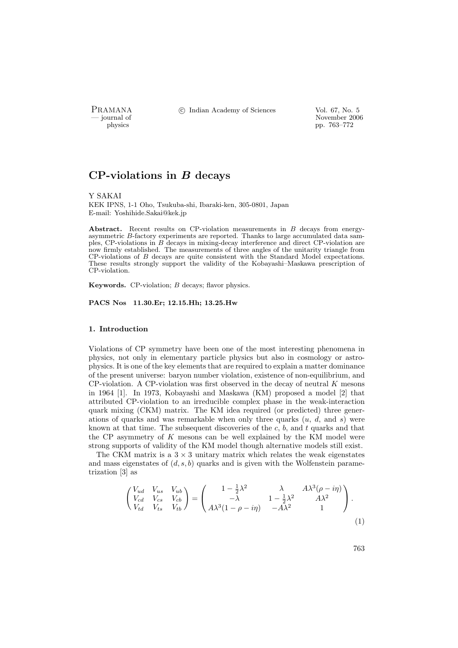PRAMANA °c Indian Academy of Sciences Vol. 67, No. 5

physics<br>
and the contract of the November 2006<br>
pp. 763–772 physics pp. 763–772

# $CP$ -violations in  $B$  decays

Y SAKAI

KEK IPNS, 1-1 Oho, Tsukuba-shi, Ibaraki-ken, 305-0801, Japan E-mail: Yoshihide.Sakai@kek.jp

Abstract. Recent results on CP-violation measurements in B decays from energyasymmetric B-factory experiments are reported. Thanks to large accumulated data samples, CP-violations in B decays in mixing-decay interference and direct CP-violation are now firmly established. The measurements of three angles of the unitarity triangle from CP-violations of B decays are quite consistent with the Standard Model expectations. These results strongly support the validity of the Kobayashi–Maskawa prescription of CP-violation.

**Keywords.** CP-violation:  $B$  decays: flavor physics.

PACS Nos 11.30.Er; 12.15.Hh; 13.25.Hw

### 1. Introduction

Violations of CP symmetry have been one of the most interesting phenomena in physics, not only in elementary particle physics but also in cosmology or astrophysics. It is one of the key elements that are required to explain a matter dominance of the present universe: baryon number violation, existence of non-equilibrium, and  $CP$ -violation. A CP-violation was first observed in the decay of neutral  $K$  mesons in 1964 [1]. In 1973, Kobayashi and Maskawa (KM) proposed a model [2] that attributed CP-violation to an irreducible complex phase in the weak-interaction quark mixing (CKM) matrix. The KM idea required (or predicted) three generations of quarks and was remarkable when only three quarks  $(u, d, \text{ and } s)$  were known at that time. The subsequent discoveries of the  $c, b$ , and  $t$  quarks and that the CP asymmetry of  $K$  mesons can be well explained by the KM model were strong supports of validity of the KM model though alternative models still exist.

The CKM matrix is a  $3 \times 3$  unitary matrix which relates the weak eigenstates and mass eigenstates of  $(d, s, b)$  quarks and is given with the Wolfenstein parametrization [3] as

$$
\begin{pmatrix}\nV_{ud} & V_{us} & V_{ub} \\
V_{cd} & V_{cs} & V_{cb} \\
V_{td} & V_{ts} & V_{tb}\n\end{pmatrix} = \begin{pmatrix}\n1 - \frac{1}{2}\lambda^2 & \lambda & A\lambda^3(\rho - i\eta) \\
-\lambda & 1 - \frac{1}{2}\lambda^2 & A\lambda^2 \\
A\lambda^3(1 - \rho - i\eta) & -A\lambda^2 & 1\n\end{pmatrix}.
$$
\n(1)

763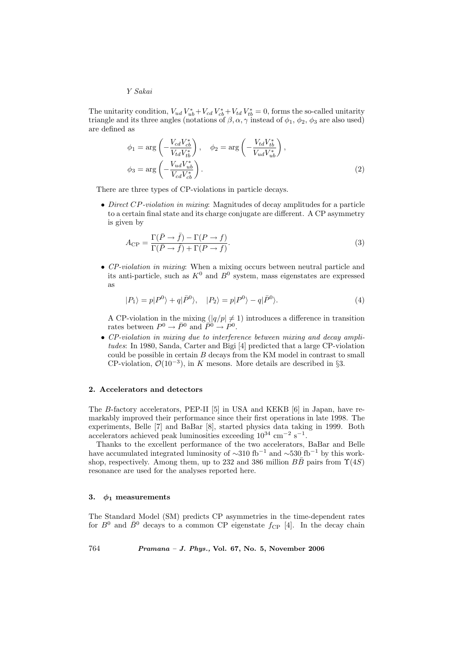### Y Sakai

The unitarity condition,  $V_{ud}V_{ub}^* + V_{cd}V_{cb}^* + V_{td}V_{tb}^* = 0$ , forms the so-called unitarity triangle and its three angles (notations of  $\beta$ ,  $\alpha$ ,  $\gamma$  instead of  $\phi_1$ ,  $\phi_2$ ,  $\phi_3$  are also used) are defined as

$$
\phi_1 = \arg\left(-\frac{V_{cd}V_{cb}^*}{V_{td}V_{tb}^*}\right), \quad \phi_2 = \arg\left(-\frac{V_{td}V_{tb}^*}{V_{ud}V_{ub}^*}\right),
$$

$$
\phi_3 = \arg\left(-\frac{V_{ud}V_{ub}^*}{V_{cd}V_{cb}^*}\right).
$$
(2)

There are three types of CP-violations in particle decays.

• Direct CP-violation in mixing: Magnitudes of decay amplitudes for a particle to a certain final state and its charge conjugate are different. A CP asymmetry is given by

$$
A_{\rm CP} = \frac{\Gamma(\bar{P} \to \bar{f}) - \Gamma(P \to f)}{\Gamma(\bar{P} \to \bar{f}) + \Gamma(P \to f)}.
$$
\n(3)

• CP-violation in mixing: When a mixing occurs between neutral particle and its anti-particle, such as  $K^0$  and  $B^0$  system, mass eigenstates are expressed as

$$
|P_1\rangle = p|P^0\rangle + q|\bar{P}^0\rangle, \quad |P_2\rangle = p|P^0\rangle - q|\bar{P}^0\rangle. \tag{4}
$$

A CP-violation in the mixing  $(|q/p| \neq 1)$  introduces a difference in transition rates between  $P^0 \to \bar{P}^0$  and  $\overline{P}^{0} \to \overline{P}^{0}$ .

• CP-violation in mixing due to interference between mixing and decay amplitudes: In 1980, Sanda, Carter and Bigi [4] predicted that a large CP-violation could be possible in certain B decays from the KM model in contrast to small CP-violation,  $\mathcal{O}(10^{-3})$ , in K mesons. More details are described in §3.

### 2. Accelerators and detectors

The B-factory accelerators, PEP-II [5] in USA and KEKB [6] in Japan, have remarkably improved their performance since their first operations in late 1998. The experiments, Belle [7] and BaBar [8], started physics data taking in 1999. Both accelerators achieved peak luminosities exceeding  $10^{34}$  cm<sup>-2</sup> s<sup>-1</sup>.

Thanks to the excellent performance of the two accelerators, BaBar and Belle have accumulated integrated luminosity of  $\sim$ 310 fb<sup>-1</sup> and  $\sim$ 530 fb<sup>-1</sup> by this workshop, respectively. Among them, up to 232 and 386 million  $B\bar{B}$  pairs from  $\Upsilon(4S)$ resonance are used for the analyses reported here.

### 3.  $\phi_1$  measurements

The Standard Model (SM) predicts CP asymmetries in the time-dependent rates for  $B^0$  and  $\bar{B}^0$  decays to a common CP eigenstate  $f_{\rm CP}$  [4]. In the decay chain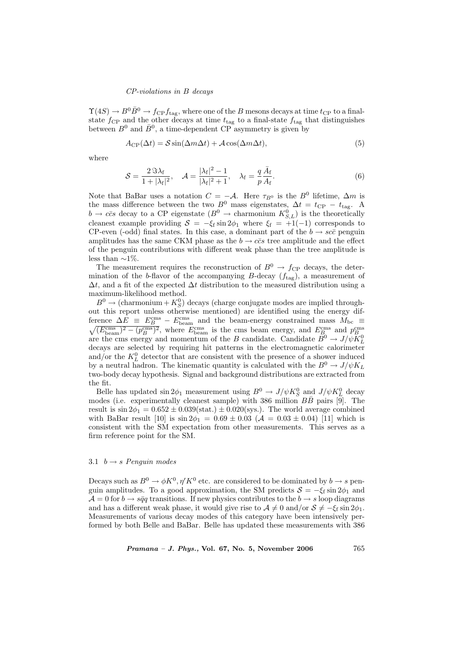### CP-violations in B decays

 $\Upsilon(4S) \to B^0 \bar{B}^0 \to f_{CP} f_{\text{tag}}$ , where one of the B mesons decays at time  $t_{CP}$  to a finalstate  $f_{\text{CP}}$  and the other decays at time  $t_{\text{tag}}$  to a final-state  $f_{\text{tag}}$  that distinguishes between  $B^0$  and  $\bar{B}^0$ , a time-dependent CP asymmetry is given by

$$
A_{\rm CP}(\Delta t) = \mathcal{S}\sin(\Delta m \Delta t) + \mathcal{A}\cos(\Delta m \Delta t),\tag{5}
$$

where

$$
\mathcal{S} = \frac{2 \mathcal{S} \lambda_{\rm f}}{1 + |\lambda_{\rm f}|^2}, \quad \mathcal{A} = \frac{|\lambda_{\rm f}|^2 - 1}{|\lambda_{\rm f}|^2 + 1}, \quad \lambda_{\rm f} = \frac{q}{p} \frac{\bar{A}_{\rm f}}{A_{\rm f}}.
$$

Note that BaBar uses a notation  $C = -A$ . Here  $\tau_{B^0}$  is the  $B^0$  lifetime,  $\Delta m$  is the mass difference between the two  $B^0$  mass eigenstates,  $\Delta t = t_{\text{CP}} - t_{\text{tag}}$ . A  $b \to c\bar{c}s$  decay to a CP eigenstate  $(B^0 \to \text{charmonium } K_{S,L}^0)$  is the theoretically cleanest example providing  $S = -\xi_f \sin 2\phi_1$  where  $\xi_f = +1(-1)$  corresponds to CP-even (-odd) final states. In this case, a dominant part of the  $b \rightarrow sc\bar{c}$  penguin amplitudes has the same CKM phase as the  $b \rightarrow c\bar{c}s$  tree amplitude and the effect of the penguin contributions with different weak phase than the tree amplitude is less than  $\sim$ 1%.

The measurement requires the reconstruction of  $B^0 \rightarrow f_{\rm CP}$  decays, the determination of the b-flavor of the accompanying  $B$ -decay  $(f_{\text{tag}})$ , a measurement of  $\Delta t$ , and a fit of the expected  $\Delta t$  distribution to the measured distribution using a maximum-likelihood method.

 $B^0 \to$  (charmonium  $+ K^0_S$ ) decays (charge conjugate modes are implied throughout this report unless otherwise mentioned) are identified using the energy difference  $\Delta E \equiv E_B^{\text{cms}} - E_{\text{beam}}^{\text{cms}}$  and the beam-energy constrained mass  $M_{\text{bc}} \equiv$  $\sqrt{(E_{\text{beam}}^{\text{cms}})^2 - (p_B^{\text{cms}})^2}$ , where  $E_{\text{beam}}^{\text{cms}}$  is the cms beam energy, and  $E_B^{\text{cms}}$  and  $p_B^{\text{cms}}$  are the cms energy and momentum of the B candidate. Candidate  $B^0 \to J/\psi K_L^0$ decays are selected by requiring hit patterns in the electromagnetic calorimeter and/or the  $K^0_L$  detector that are consistent with the presence of a shower induced by a neutral hadron. The kinematic quantity is calculated with the  $B^0 \to J/\psi K_L$ two-body decay hypothesis. Signal and background distributions are extracted from the fit.

Belle has updated  $\sin 2\phi_1$  measurement using  $B^0 \to J/\psi K_S^0$  and  $J/\psi K_L^0$  decay modes (i.e. experimentally cleanest sample) with 386 million  $B\bar{B}$  pairs [9]. The result is  $\sin 2\phi_1 = 0.652 \pm 0.039(\text{stat.}) \pm 0.020(\text{sys.})$ . The world average combined with BaBar result [10] is  $\sin 2\phi_1 = 0.69 \pm 0.03$  ( $\mathcal{A} = 0.03 \pm 0.04$ ) [11] which is consistent with the SM expectation from other measurements. This serves as a firm reference point for the SM.

### 3.1  $b \rightarrow s$  Penguin modes

Decays such as  $B^0 \to \phi K^0$ ,  $\eta' K^0$  etc. are considered to be dominated by  $b \to s$  penguin amplitudes. To a good approximation, the SM predicts  $S = -\xi_f \sin 2\phi_1$  and  $\mathcal{A} = 0$  for  $b \to s\bar{q}q$  transitions. If new physics contributes to the  $b \to s$  loop diagrams and has a different weak phase, it would give rise to  $\mathcal{A} \neq 0$  and/or  $\mathcal{S} \neq -\xi_f \sin 2\phi_1$ . Measurements of various decay modes of this category have been intensively performed by both Belle and BaBar. Belle has updated these measurements with 386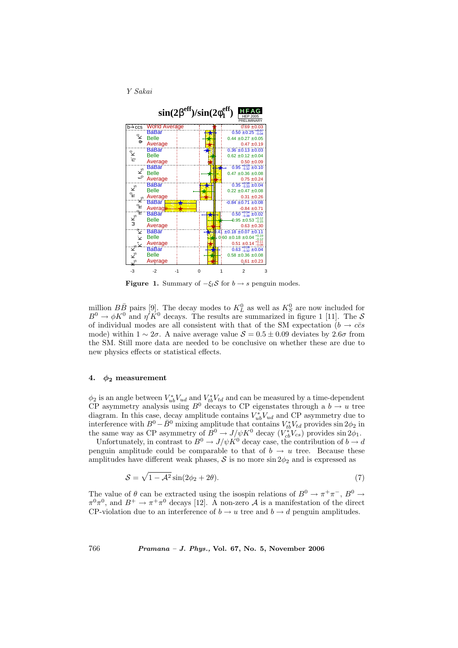



**Figure 1.** Summary of  $-\xi_i S$  for  $b \rightarrow s$  penguin modes.

million  $B\bar{B}$  pairs [9]. The decay modes to  $K_L^0$  as well as  $K_S^0$  are now included for  $B^0 \to \phi K^0$  and  $\eta' K^0$  decays. The results are summarized in figure 1 [11]. The S of individual modes are all consistent with that of the SM expectation ( $b \rightarrow c\bar{c}s$ mode) within  $1 \sim 2\sigma$ . A naive average value  $S = 0.5 \pm 0.09$  deviates by  $2.6\sigma$  from the SM. Still more data are needed to be conclusive on whether these are due to new physics effects or statistical effects.

## 4.  $\phi_2$  measurement

 $\phi_2$  is an angle between  $V_{ub}^* V_{ud}$  and  $V_{tb}^* V_{td}$  and can be measured by a time-dependent CP asymmetry analysis using  $B^0$  decays to CP eigenstates through a  $b \to u$  tree diagram. In this case, decay amplitude contains  $V_{ub}^* V_{ud}$  and CP asymmetry due to interference with  $B^0 - \bar{B}^0$  mixing amplitude that contains  $V_{tb}^* V_{td}$  provides  $\sin 2\phi_2$  in the same way as CP asymmetry of  $B^0 \to J/\psi K^0$  decay  $(V_{cb}^*V_{cs})$  provides  $\sin 2\phi_1$ .

Unfortunately, in contrast to  $B^0 \to J/\psi K^0$  decay case, the contribution of  $b \to d$ penguin amplitude could be comparable to that of  $b \to u$  tree. Because these amplitudes have different weak phases,  $\mathcal S$  is no more sin  $2\phi_2$  and is expressed as

$$
S = \sqrt{1 - A^2} \sin(2\phi_2 + 2\theta). \tag{7}
$$

The value of  $\theta$  can be extracted using the isospin relations of  $B^0 \to \pi^+\pi^-$ ,  $B^0 \to$  $\pi^0\pi^0$ , and  $B^+ \to \pi^+\pi^0$  decays [12]. A non-zero A is a manifestation of the direct CP-violation due to an interference of  $b \to u$  tree and  $b \to d$  penguin amplitudes.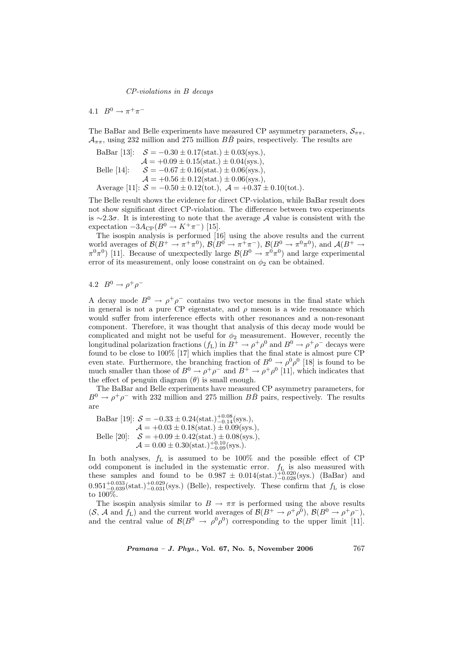CP-violations in B decays

4.1  $B^0 \to \pi^+ \pi^-$ 

The BaBar and Belle experiments have measured CP asymmetry parameters,  $S_{\pi\pi}$ ,  $\mathcal{A}_{\pi\pi}$ , using 232 million and 275 million  $B\bar{B}$  pairs, respectively. The results are

BaBar [13]:  $S = -0.30 \pm 0.17(\text{stat.}) \pm 0.03(\text{sys.})$ ,  $\mathcal{A} = +0.09 \pm 0.15 \text{(stat.)} \pm 0.04 \text{(sys.),}$ Belle [14]:  $S = -0.67 \pm 0.16(\text{stat.}) \pm 0.06(\text{sys.}),$  $\mathcal{A} = +0.56 \pm 0.12 \text{(stat.)} \pm 0.06 \text{(sys.),}$ Average [11]:  $S = -0.50 \pm 0.12 \text{(tot.)}$ ,  $\mathcal{A} = +0.37 \pm 0.10 \text{(tot.)}$ .

The Belle result shows the evidence for direct CP-violation, while BaBar result does not show significant direct CP-violation. The difference between two experiments is ∼2.3σ. It is interesting to note that the average A value is consistent with the expectation  $-3A_{\rm CP}(B^0 \to K^+ \pi^-)$  [15].

The isospin analysis is performed [16] using the above results and the current world averages of  $\mathcal{B}(B^+\to \pi^+\pi^0)$ ,  $\mathcal{B}(B^0\to \pi^+\pi^-)$ ,  $\mathcal{B}(B^0\to \pi^0\pi^0)$ , and  $\mathcal{A}(B^+\to \pi^0\pi^0)$  $\pi^{0}\pi^{0}$  [11]. Because of unexpectedly large  $\mathcal{B}(B^{0} \to \pi^{0}\pi^{0})$  and large experimental error of its measurement, only loose constraint on  $\phi_2$  can be obtained.

4.2  $B^0 \to \rho^+ \rho^-$ 

A decay mode  $B^0 \to \rho^+ \rho^-$  contains two vector mesons in the final state which in general is not a pure CP eigenstate, and  $\rho$  meson is a wide resonance which would suffer from interference effects with other resonances and a non-resonant component. Therefore, it was thought that analysis of this decay mode would be complicated and might not be useful for  $\phi_2$  measurement. However, recently the longitudinal polarization fractions  $(f_L)$  in  $B^+ \to \rho^+ \rho^0$  and  $B^0 \to \rho^+ \rho^-$  decays were found to be close to 100% [17] which implies that the final state is almost pure CP even state. Furthermore, the branching fraction of  $B^0 \to \rho^0 \rho^0$  [18] is found to be much smaller than those of  $B^0 \to \rho^+ \rho^-$  and  $B^+ \to \rho^+ \rho^0$  [11], which indicates that the effect of penguin diagram  $(\theta)$  is small enough.

The BaBar and Belle experiments have measured CP asymmetry parameters, for  $B^0 \to \rho^+ \rho^-$  with 232 million and 275 million  $B\bar{B}$  pairs, respectively. The results are

BaBar [19]:  $S = -0.33 \pm 0.24(\text{stat.})_{-0.14}^{+0.08}(\text{sys.})$ ,  $\mathcal{A} = +0.03 \pm 0.18 \text{(stat.)} \pm 0.09 \text{(sys.),}$ Belle [20]:  $S = +0.09 \pm 0.42 \text{(stat.)} \pm 0.08 \text{(sys.),}$  $\mathcal{A}=0.00\pm0.30(\mathrm{stat.})^{+0.10}_{-0.09}(\mathrm{sys.}).$ 

In both analyses,  $f_L$  is assumed to be 100% and the possible effect of CP odd component is included in the systematic error.  $f_L$  is also measured with these samples and found to be  $0.987 \pm 0.014(\text{stat.})_{-0.028}^{+0.020}(\text{sys.})$  (BaBar) and  $0.951^{+0.033}_{-0.039}$ (stat.)<sup> $+0.029$ </sup>(sys.) (Belle), respectively. These confirm that  $f_L$  is close to 100%.

The isospin analysis similar to  $B \to \pi\pi$  is performed using the above results  $(S, \mathcal{A} \text{ and } f_L)$  and the current world averages of  $\mathcal{B}(B^+ \to \rho^+ \rho^0), \mathcal{B}(B^0 \to \rho^+ \rho^-),$ and the central value of  $\mathcal{B}(B^0 \to \rho^0 \rho^0)$  corresponding to the upper limit [11].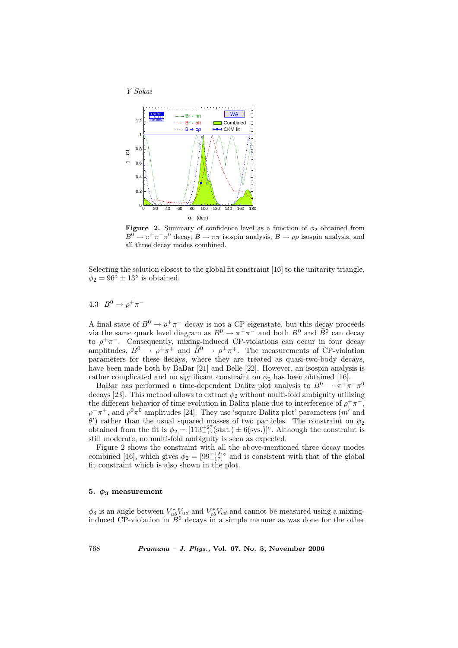



**Figure 2.** Summary of confidence level as a function of  $\phi_2$  obtained from  $B^0 \to \pi^+ \pi^- \pi^0$  decay,  $B \to \pi \pi$  isospin analysis,  $B \to \rho \rho$  isospin analysis, and all three decay modes combined.

Selecting the solution closest to the global fit constraint [16] to the unitarity triangle,  $\phi_2 = 96^\circ \pm 13^\circ$  is obtained.

## 4.3  $B^0 \to \rho^+ \pi^-$

A final state of  $B^0 \to \rho^+ \pi^-$  decay is not a CP eigenstate, but this decay proceeds via the same quark level diagram as  $B^0 \to \pi^+ \pi^-$  and both  $B^0$  and  $\overline{B}^{0}$  can decay to  $\rho^+\pi^-$ . Consequently, mixing-induced CP-violations can occur in four decay amplitudes,  $B^0 \to \rho^{\pm} \pi^{\mp}$  and  $\bar{B}^0 \to \rho^{\pm} \pi^{\mp}$ . The measurements of CP-violation parameters for these decays, where they are treated as quasi-two-body decays, have been made both by BaBar [21] and Belle [22]. However, an isospin analysis is rather complicated and no significant constraint on  $\phi_2$  has been obtained [16].

BaBar has performed a time-dependent Dalitz plot analysis to  $B^0 \to \pi^+ \pi^- \pi^0$ decays [23]. This method allows to extract  $\phi_2$  without multi-fold ambiguity utilizing the different behavior of time evolution in Dalitz plane due to interference of  $\rho^+\pi^-$ ,  $\rho^-\pi^+$ , and  $\rho^0\pi^0$  amplitudes [24]. They use 'square Dalitz plot' parameters (m' and  $\theta'$ ) rather than the usual squared masses of two particles. The constraint on  $\phi_2$ obtained from the fit is  $\phi_2 = [113^{+27}_{-17}(\text{stat.}) \pm 6(\text{sys.})]^\circ$ . Although the constraint is still moderate, no multi-fold ambiguity is seen as expected.

Figure 2 shows the constraint with all the above-mentioned three decay modes combined [16], which gives  $\phi_2 = [99^{+12}_{-17}]^{\circ}$  and is consistent with that of the global fit constraint which is also shown in the plot.

### 5.  $\phi_3$  measurement

 $\phi_3$  is an angle between  $V_{ub}^* V_{ud}$  and  $V_{cb}^* V_{cd}$  and cannot be measured using a mixinginduced CP-violation in  $B^0$  decays in a simple manner as was done for the other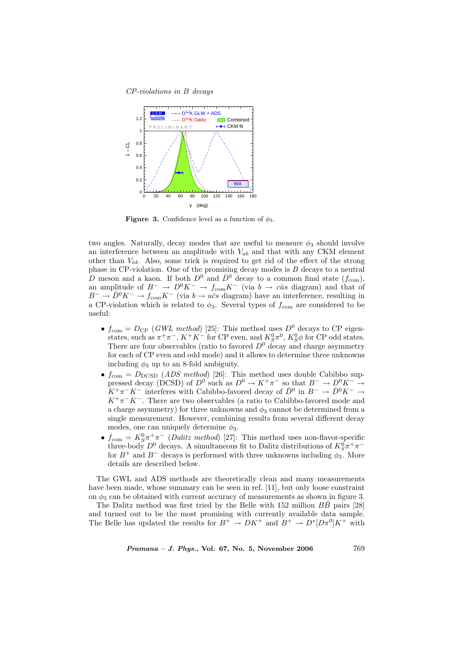CP-violations in B decays



**Figure 3.** Confidence level as a function of  $\phi_3$ .

two angles. Naturally, decay modes that are useful to measure  $\phi_3$  should involve an interference between an amplitude with  $V_{ub}$  and that with any CKM element other than  $V_{td}$ . Also, some trick is required to get rid of the effect of the strong phase in CP-violation. One of the promising decay modes is B decays to a neutral D meson and a kaon. If both  $D^0$  and  $\overline{D}^0$  decay to a common final state  $(f_{com})$ , an amplitude of  $B^- \to D^0 K^- \to f_{com} K^-$  (via  $b \to c\bar{u}s$  diagram) and that of  $B^{-} \to \overline{D}{}^{0} K^{-} \to f_{\text{com}} K^{-}$  (via  $b \to u\overline{c}s$  diagram) have an interference, resulting in a CP-violation which is related to  $\phi_3$ . Several types of  $f_{\text{com}}$  are considered to be useful:

- $f_{\text{com}} = D_{\text{CP}}$  (GWL method) [25]: This method uses  $D^0$  decays to CP eigenstates, such as  $\pi^+\pi^-, K^+K^-$  for CP even, and  $K_S^0\pi^0, K_S^0\phi$  for CP odd states. There are four observables (ratio to favored  $D^0$  decay and charge asymmetry for each of CP even and odd mode) and it allows to determine three unknowns including  $\phi_3$  up to an 8-fold ambiguity.
- $f_{\text{com}} = D_{\text{DCSD}}$  (*ADS method*) [26]: This method uses double Cabibbo suppressed decay (DCSD) of  $D^0$  such as  $D^0 \to K^+\pi^-$  so that  $B^- \to D^0K^- \to$  $K^+\pi^-K^-$  interferes with Cabibbo-favored decay of  $\bar{D}^0$  in  $B^-\to \bar{D}^0K^-\to$  $K^+\pi^-K^-$ . There are two observables (a ratio to Cabibbo-favored mode and a charge asymmetry) for three unknowns and  $\phi_3$  cannot be determined from a single measurement. However, combining results from several different decay modes, one can uniquely determine  $\phi_3$ .
- $f_{\text{com}} = K_S^0 \pi^+ \pi^-$  (*Dalitz method*) [27]: This method uses non-flavor-specific three-body  $D^0$  decays. A simultaneous fit to Dalitz distributions of  $K^0_S \pi^+ \pi^$ for  $B^+$  and  $B^-$  decays is performed with three unknowns including  $\phi_3$ . More details are described below.

The GWL and ADS methods are theoretically clean and many measurements have been made, whose summary can be seen in ref. [11], but only loose constraint on  $\phi_3$  can be obtained with current accuracy of measurements as shown in figure 3.

The Dalitz method was first tried by the Belle with 152 million  $B\bar{B}$  pairs [28] and turned out to be the most promising with currently available data sample. The Belle has updated the results for  $B^+ \to D K^+$  and  $B^+ \to D^* [D \pi^0] K^+$  with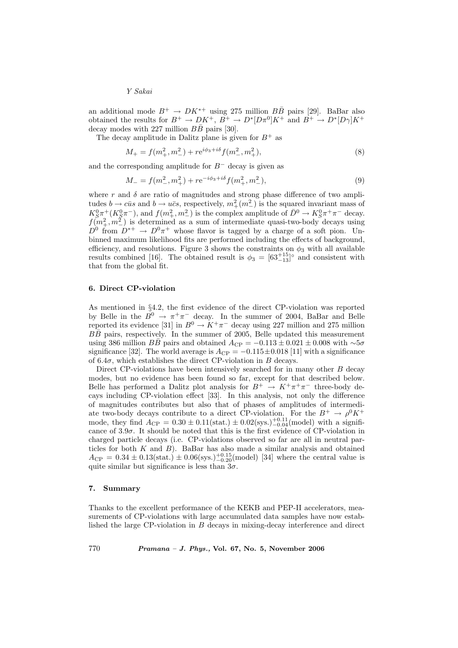Y Sakai

an additional mode  $B^+ \to D K^{*+}$  using 275 million  $B\overline{B}$  pairs [29]. BaBar also obtained the results for  $B^+ \to D K^+$ ,  $B^+ \to D^* [D \pi^0] K^+$  and  $B^+ \to D^* [D \gamma] K^+$ decay modes with 227 million  $B\bar{B}$  pairs [30].

The decay amplitude in Dalitz plane is given for  $B^+$  as

$$
M_{+} = f(m_{+}^{2}, m_{-}^{2}) + r e^{i\phi_{3} + i\delta} f(m_{-}^{2}, m_{+}^{2}), \tag{8}
$$

and the corresponding amplitude for  $B^-$  decay is given as

$$
M_{-} = f(m_{-}^{2}, m_{+}^{2}) + r e^{-i\phi_{3} + i\delta} f(m_{+}^{2}, m_{-}^{2}),
$$
\n(9)

where r and  $\delta$  are ratio of magnitudes and strong phase difference of two amplitudes  $b \to c\bar{u}s$  and  $b \to u\bar{c}s$ , respectively,  $m_+^2(m_-^2)$  is the squared invariant mass of  $K_S^0 \pi^+ (K_S^0 \pi^-)$ , and  $f(m_+^2, m_-^2)$  is the complex amplitude of  $\bar{D}^0 \to K_S^0 \pi^+ \pi^-$  decay.  $f(m_+^2, m_-^2)$  is determined as a sum of intermediate quasi-two-body decays using  $D^0$  from  $D^{*+} \to D^0 \pi^+$  whose flavor is tagged by a charge of a soft pion. Unbinned maximum likelihood fits are performed including the effects of background, efficiency, and resolutions. Figure 3 shows the constraints on  $\phi_3$  with all available results combined [16]. The obtained result is  $\phi_3 = \left[63^{+15}_{-13}\right]^\circ$  and consistent with that from the global fit.

### 6. Direct CP-violation

As mentioned in §4.2, the first evidence of the direct CP-violation was reported by Belle in the  $B^0 \to \pi^+\pi^-$  decay. In the summer of 2004, BaBar and Belle reported its evidence [31] in  $B^0 \to K^+\pi^-$  decay using 227 million and 275 million  $B\bar{B}$  pairs, respectively. In the summer of 2005, Belle updated this measurement using 386 million BB pairs and obtained  $A_{\rm CP} = -0.113 \pm 0.021 \pm 0.008$  with ∼5σ significance [32]. The world average is  $A_{\rm CP} = -0.115 \pm 0.018$  [11] with a significance of 6.4 $\sigma$ , which establishes the direct CP-violation in B decays.

Direct CP-violations have been intensively searched for in many other B decay modes, but no evidence has been found so far, except for that described below. Belle has performed a Dalitz plot analysis for  $B^+ \to K^+\pi^+\pi^-$  three-body decays including CP-violation effect [33]. In this analysis, not only the difference of magnitudes contributes but also that of phases of amplitudes of intermediate two-body decays contribute to a direct CP-violation. For the  $B^+ \to \rho^0 K^+$ mode, they find  $A_{\rm CP} = 0.30 \pm 0.11(\text{stat.}) \pm 0.02(\text{sys.})_{-0.04}^{+0.11}(\text{model})$  with a significance of  $3.9\sigma$ . It should be noted that this is the first evidence of CP-violation in charged particle decays (i.e. CP-violations observed so far are all in neutral particles for both  $K$  and  $B$ ). BaBar has also made a similar analysis and obtained  $A_{\rm CP} = 0.34 \pm 0.13({\rm stat.}) \pm 0.06({\rm sys.})_{-0.20}^{+0.15}({\rm model})$  [34] where the central value is quite similar but significance is less than  $3\sigma$ .

### 7. Summary

Thanks to the excellent performance of the KEKB and PEP-II accelerators, measurements of CP-violations with large accumulated data samples have now established the large CP-violation in B decays in mixing-decay interference and direct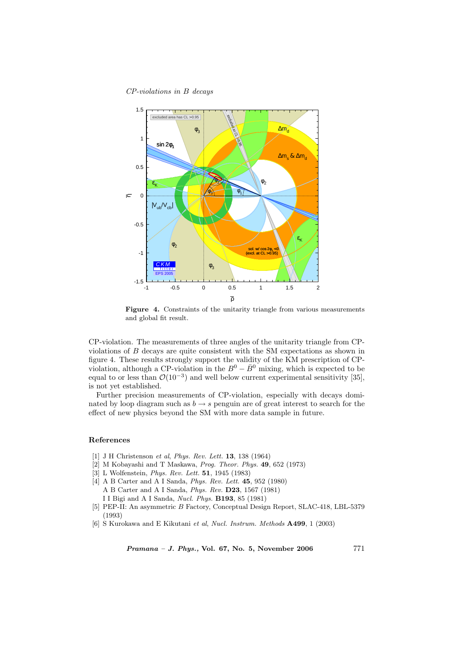CP-violations in B decays



Figure 4. Constraints of the unitarity triangle from various measurements and global fit result.

CP-violation. The measurements of three angles of the unitarity triangle from CPviolations of B decays are quite consistent with the SM expectations as shown in figure 4. These results strongly support the validity of the KM prescription of CPviolation, although a CP-violation in the  $B^0 - \bar{B}^0$  mixing, which is expected to be equal to or less than  $\mathcal{O}(10^{-3})$  and well below current experimental sensitivity [35], is not yet established.

Further precision measurements of CP-violation, especially with decays dominated by loop diagram such as  $b \rightarrow s$  penguin are of great interest to search for the effect of new physics beyond the SM with more data sample in future.

#### References

- [1] J H Christenson et al, Phys. Rev. Lett. 13, 138 (1964)
- [2] M Kobayashi and T Maskawa, Prog. Theor. Phys. 49, 652 (1973)
- [3] L Wolfenstein, Phys. Rev. Lett. 51, 1945 (1983)
- [4] A B Carter and A I Sanda, *Phys. Rev. Lett.* **45**, 952 (1980) A B Carter and A I Sanda, Phys. Rev. D23, 1567 (1981) I I Bigi and A I Sanda, Nucl. Phys. B193, 85 (1981)
- [5] PEP-II: An asymmetric B Factory, Conceptual Design Report, SLAC-418, LBL-5379 (1993)
- [6] S Kurokawa and E Kikutani et al, Nucl. Instrum. Methods A499, 1 (2003)